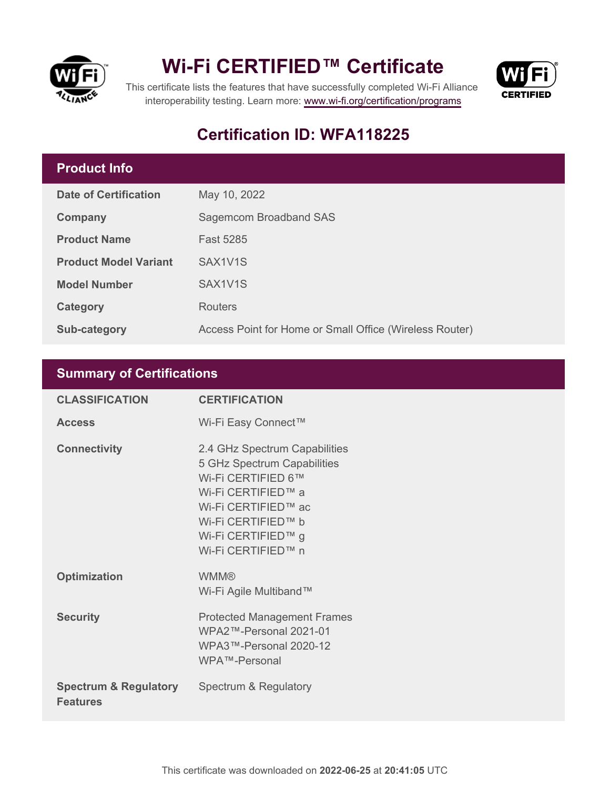

## **Wi-Fi CERTIFIED™ Certificate**



This certificate lists the features that have successfully completed Wi-Fi Alliance interoperability testing. Learn more:<www.wi-fi.org/certification/programs>

## **Certification ID: WFA118225**

## **Product Info**

| <b>Date of Certification</b> | May 10, 2022                                            |
|------------------------------|---------------------------------------------------------|
| Company                      | Sagemcom Broadband SAS                                  |
| <b>Product Name</b>          | <b>Fast 5285</b>                                        |
| <b>Product Model Variant</b> | SAX1V1S                                                 |
| <b>Model Number</b>          | SAX1V1S                                                 |
| Category                     | <b>Routers</b>                                          |
| Sub-category                 | Access Point for Home or Small Office (Wireless Router) |

## **Summary of Certifications**

| <b>CLASSIFICATION</b>                               | <b>CERTIFICATION</b>                                                                                                                                                                              |
|-----------------------------------------------------|---------------------------------------------------------------------------------------------------------------------------------------------------------------------------------------------------|
| <b>Access</b>                                       | Wi-Fi Easy Connect™                                                                                                                                                                               |
| <b>Connectivity</b>                                 | 2.4 GHz Spectrum Capabilities<br>5 GHz Spectrum Capabilities<br>Wi-Fi CERTIFIED 6™<br>Wi-Fi CERTIFIED™ a<br>Wi-Fi CERTIFIED™ ac<br>Wi-Fi CERTIFIED™ b<br>Wi-Fi CERTIFIED™ g<br>Wi-Fi CERTIFIED™ n |
| <b>Optimization</b>                                 | <b>WMM®</b><br>Wi-Fi Agile Multiband™                                                                                                                                                             |
| <b>Security</b>                                     | <b>Protected Management Frames</b><br>WPA2™-Personal 2021-01<br>WPA3™-Personal 2020-12<br>WPA™-Personal                                                                                           |
| <b>Spectrum &amp; Regulatory</b><br><b>Features</b> | Spectrum & Regulatory                                                                                                                                                                             |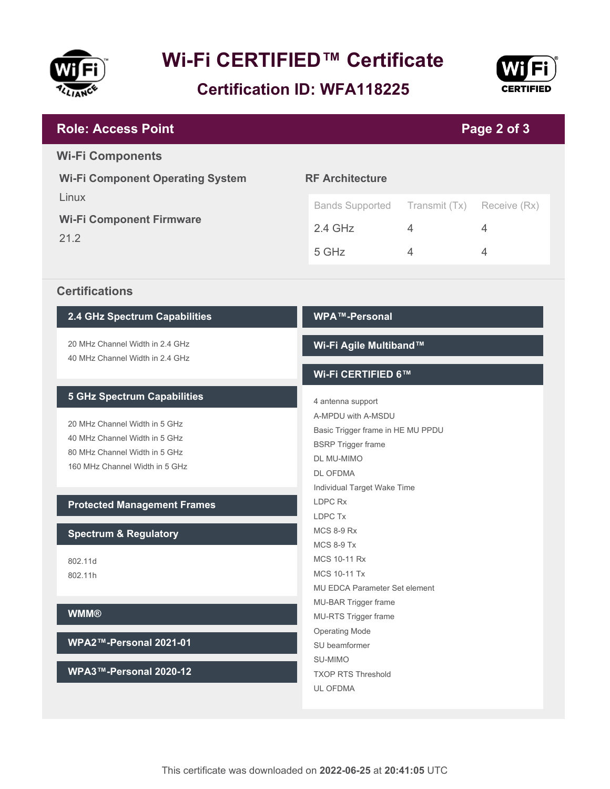

# **Wi-Fi CERTIFIED™ Certificate**

**Certification ID: WFA118225**



#### **RF Architecture** Bands Supported Transmit (Tx) Receive (Rx) 2.4 GHz 4 4 5 GHz 4 4 4 **Wi-Fi Component Operating System** Linux **Wi-Fi Component Firmware** 21.2 **Page 2 of 3 Role: Access Point Wi-Fi Components**

#### **Certifications**

#### **2.4 GHz Spectrum Capabilities**

20 MHz Channel Width in 2.4 GHz 40 MHz Channel Width in 2.4 GHz

#### **5 GHz Spectrum Capabilities**

20 MHz Channel Width in 5 GHz 40 MHz Channel Width in 5 GHz 80 MHz Channel Width in 5 GHz 160 MHz Channel Width in 5 GHz

#### **Protected Management Frames**

#### **Spectrum & Regulatory**

802.11d 802.11h

#### **WMM®**

**WPA2™-Personal 2021-01**

**WPA3™-Personal 2020-12**

#### **WPA™-Personal**

#### **Wi-Fi Agile Multiband™**

#### **Wi-Fi CERTIFIED 6™**

4 antenna support A-MPDU with A-MSDU Basic Trigger frame in HE MU PPDU BSRP Trigger frame DL MU-MIMO DL OFDMA Individual Target Wake Time LDPC Rx LDPC Tx MCS 8-9 Rx MCS 8-9 Tx MCS 10-11 Rx MCS 10-11 Tx MU EDCA Parameter Set element MU-BAR Trigger frame MU-RTS Trigger frame Operating Mode SU beamformer SU-MIMO TXOP RTS Threshold UL OFDMA